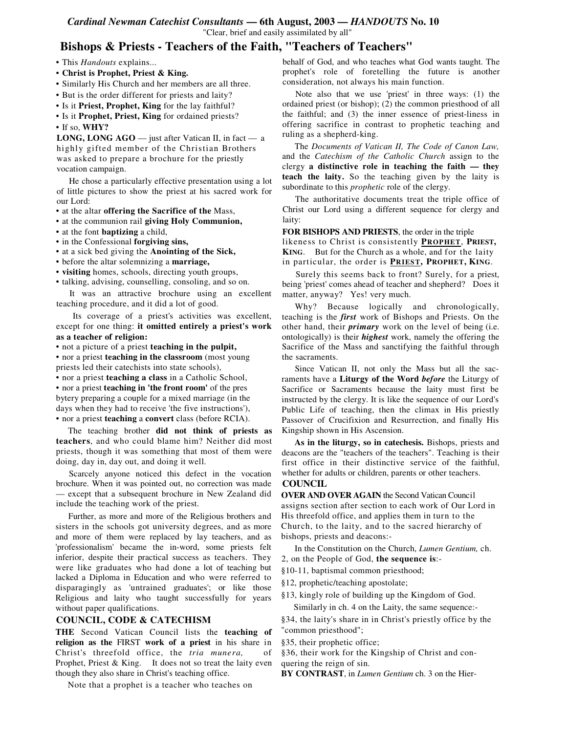#### *Cardinal Newman Catechist Consultants* **— 6th August, 2003 —** *HANDOUTS* **No. 10** "Clear, brief and easily assimilated by all"

# **Bishops & Priests - Teachers of the Faith, "Teachers of Teachers"**

- This *Handouts* explains...
- **Christ is Prophet, Priest & King.**
- Similarly His Church and her members are all three.
- But is the order different for priests and laity?
- Is it **Priest, Prophet, King** for the lay faithful?
- Is it **Prophet, Priest, King** for ordained priests?
- If so, **WHY?**

**LONG, LONG AGO** — just after Vatican II, in fact — a highly gifted member of the Christian Brothers was asked to prepare a brochure for the priestly vocation campaign.

He chose a particularly effective presentation using a lot of little pictures to show the priest at his sacred work for our Lord:

- at the altar **offering the Sacrifice of the** Mass,
- at the communion rail **giving Holy Communion,**
- at the font **baptizing** a child,
- in the Confessional **forgiving sins,**
- at a sick bed giving the **Anointing of the Sick,**
- before the altar solemnizing a **marriage,**
- **visiting** homes, schools, directing youth groups,
- talking, advising, counselling, consoling, and so on.

It was an attractive brochure using an excellent teaching procedure, and it did a lot of good.

Its coverage of a priest's activities was excellent, except for one thing: **it omitted entirely a priest's work as a teacher of religion:**

• not a picture of a priest **teaching in the pulpit,**

• nor a priest **teaching in the classroom** (most young priests led their catechists into state schools),

• nor a priest **teaching a class** in a Catholic School,

• nor a priest **teaching in 'the front room'** of the pres bytery preparing a couple for a mixed marriage (in the days when they had to receive 'the five instructions'), • nor a priest **teaching** a **convert** class (before RCIA).

The teaching brother **did not think of priests as teachers**, and who could blame him? Neither did most priests, though it was something that most of them were doing, day in, day out, and doing it well.

Scarcely anyone noticed this defect in the vocation brochure. When it was pointed out, no correction was made — except that a subsequent brochure in New Zealand did include the teaching work of the priest.

Further, as more and more of the Religious brothers and sisters in the schools got university degrees, and as more and more of them were replaced by lay teachers, and as 'professionalism' became the in-word, some priests felt inferior, despite their practical success as teachers. They were like graduates who had done a lot of teaching but lacked a Diploma in Education and who were referred to disparagingly as 'untrained graduates'; or like those Religious and laity who taught successfully for years without paper qualifications.

### **COUNCIL, CODE & CATECHISM**

**THE** Second Vatican Council lists the **teaching of religion as the** FIRST **work of a priest** in his share in Christ's threefold office, the *tria munera,* of Prophet, Priest & King. It does not so treat the laity even though they also share in Christ's teaching office.

Note that a prophet is a teacher who teaches on

behalf of God, and who teaches what God wants taught. The prophet's role of foretelling the future is another consideration, not always his main function.

Note also that we use 'priest' in three ways: (1) the ordained priest (or bishop); (2) the common priesthood of all the faithful; and (3) the inner essence of priest-liness in offering sacrifice in contrast to prophetic teaching and ruling as a shepherd-king.

The *Documents of Vatican II, The Code of Canon Law,* and the *Catechism of the Catholic Church* assign to the clergy **a distinctive role in teaching the faith — they teach the laity.** So the teaching given by the laity is subordinate to this *prophetic* role of the clergy.

The authoritative documents treat the triple office of Christ our Lord using a different sequence for clergy and laity:

**FOR BISHOPS AND PRIESTS**, the order in the triple

likeness to Christ is consistently **PROPHET**, **PRIEST, KING**. But for the Church as a whole, and for the laity in particular, the order is **PRIEST, PROPHET, KING**.

Surely this seems back to front? Surely, for a priest, being 'priest' comes ahead of teacher and shepherd? Does it matter, anyway? Yes! very much.

Why? Because logically and chronologically, teaching is the *first* work of Bishops and Priests. On the other hand, their *primary* work on the level of being (i.e. ontologically) is their *highest* work, namely the offering the Sacrifice of the Mass and sanctifying the faithful through the sacraments.

Since Vatican II, not only the Mass but all the sacraments have a **Liturgy of the Word** *before* the Liturgy of Sacrifice or Sacraments because the laity must first be instructed by the clergy. It is like the sequence of our Lord's Public Life of teaching, then the climax in His priestly Passover of Crucifixion and Resurrection, and finally His Kingship shown in His Ascension.

**As in the liturgy, so in catechesis.** Bishops, priests and deacons are the "teachers of the teachers". Teaching is their first office in their distinctive service of the faithful, whether for adults or children, parents or other teachers.

#### **COUNCIL**

**OVER AND OVER AGAIN** the Second Vatican Council assigns section after section to each work of Our Lord in His threefold office, and applies them in turn to the Church, to the laity, and to the sacred hierarchy of bishops, priests and deacons:-

In the Constitution on the Church, *Lumen Gentium,* ch.

2, on the People of God, **the sequence is**:-

§10-11, baptismal common priesthood;

§12, prophetic/teaching apostolate;

§13, kingly role of building up the Kingdom of God.

Similarly in ch. 4 on the Laity, the same sequence:-

§34, the laity's share in in Christ's priestly office by the "common priesthood";

§35, their prophetic office;

§36, their work for the Kingship of Christ and conquering the reign of sin.

**BY CONTRAST**, in *Lumen Gentium* ch. 3 on the Hier-